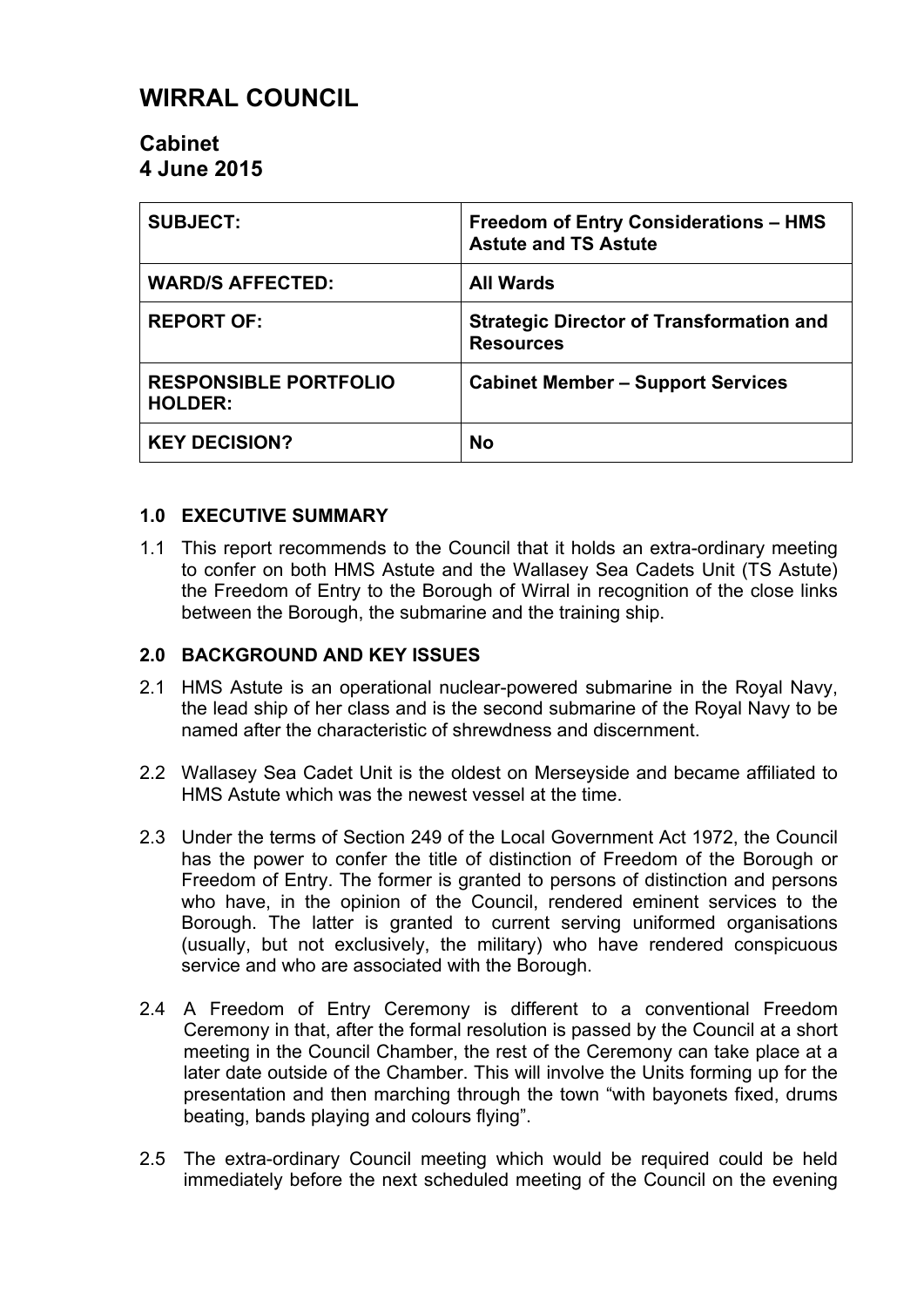# **WIRRAL COUNCIL**

## **Cabinet 4 June 2015**

| <b>SUBJECT:</b>                                | <b>Freedom of Entry Considerations - HMS</b><br><b>Astute and TS Astute</b> |
|------------------------------------------------|-----------------------------------------------------------------------------|
| <b>WARD/S AFFECTED:</b>                        | <b>All Wards</b>                                                            |
| <b>REPORT OF:</b>                              | <b>Strategic Director of Transformation and</b><br><b>Resources</b>         |
| <b>RESPONSIBLE PORTFOLIO</b><br><b>HOLDER:</b> | <b>Cabinet Member - Support Services</b>                                    |
| <b>KEY DECISION?</b>                           | <b>No</b>                                                                   |

## **1.0 EXECUTIVE SUMMARY**

1.1 This report recommends to the Council that it holds an extra-ordinary meeting to confer on both HMS Astute and the Wallasey Sea Cadets Unit (TS Astute) the Freedom of Entry to the Borough of Wirral in recognition of the close links between the Borough, the submarine and the training ship.

#### **2.0 BACKGROUND AND KEY ISSUES**

- 2.1 HMS Astute is an operational nuclear-powered submarine in the Royal Navy, the lead ship of her class and is the second submarine of the Royal Navy to be named after the characteristic of shrewdness and discernment.
- 2.2 Wallasey Sea Cadet Unit is the oldest on Merseyside and became affiliated to HMS Astute which was the newest vessel at the time.
- 2.3 Under the terms of Section 249 of the Local Government Act 1972, the Council has the power to confer the title of distinction of Freedom of the Borough or Freedom of Entry. The former is granted to persons of distinction and persons who have, in the opinion of the Council, rendered eminent services to the Borough. The latter is granted to current serving uniformed organisations (usually, but not exclusively, the military) who have rendered conspicuous service and who are associated with the Borough.
- 2.4 A Freedom of Entry Ceremony is different to a conventional Freedom Ceremony in that, after the formal resolution is passed by the Council at a short meeting in the Council Chamber, the rest of the Ceremony can take place at a later date outside of the Chamber. This will involve the Units forming up for the presentation and then marching through the town "with bayonets fixed, drums beating, bands playing and colours flying".
- 2.5 The extra-ordinary Council meeting which would be required could be held immediately before the next scheduled meeting of the Council on the evening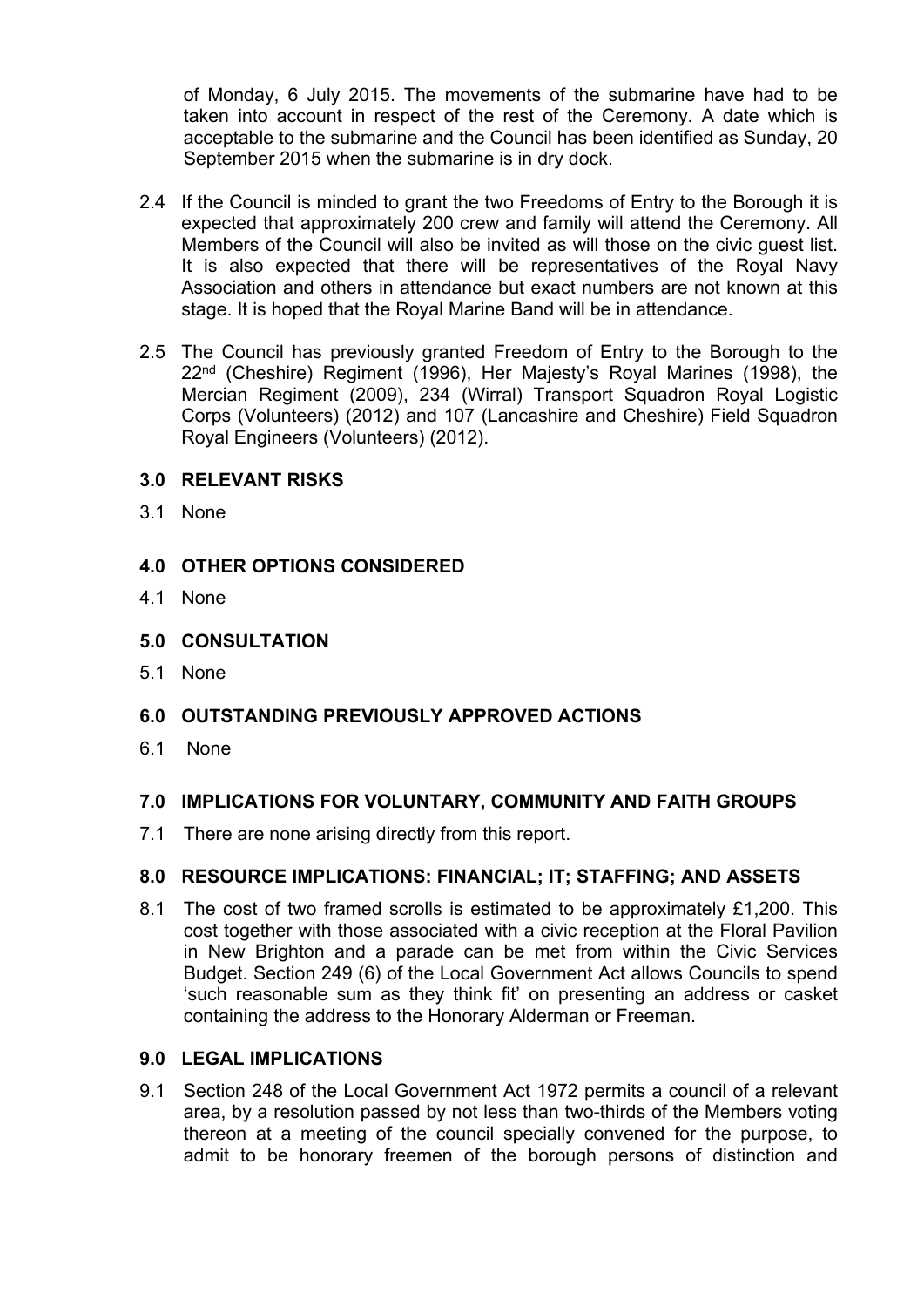of Monday, 6 July 2015. The movements of the submarine have had to be taken into account in respect of the rest of the Ceremony. A date which is acceptable to the submarine and the Council has been identified as Sunday, 20 September 2015 when the submarine is in dry dock.

- 2.4 If the Council is minded to grant the two Freedoms of Entry to the Borough it is expected that approximately 200 crew and family will attend the Ceremony. All Members of the Council will also be invited as will those on the civic guest list. It is also expected that there will be representatives of the Royal Navy Association and others in attendance but exact numbers are not known at this stage. It is hoped that the Royal Marine Band will be in attendance.
- 2.5 The Council has previously granted Freedom of Entry to the Borough to the 22nd (Cheshire) Regiment (1996), Her Majesty's Royal Marines (1998), the Mercian Regiment (2009), 234 (Wirral) Transport Squadron Royal Logistic Corps (Volunteers) (2012) and 107 (Lancashire and Cheshire) Field Squadron Royal Engineers (Volunteers) (2012).

#### **3.0 RELEVANT RISKS**

3.1 None

## **4.0 OTHER OPTIONS CONSIDERED**

- 4.1 None
- **5.0 CONSULTATION**
- 5.1 None

## **6.0 OUTSTANDING PREVIOUSLY APPROVED ACTIONS**

6.1 None

## **7.0 IMPLICATIONS FOR VOLUNTARY, COMMUNITY AND FAITH GROUPS**

7.1 There are none arising directly from this report.

#### **8.0 RESOURCE IMPLICATIONS: FINANCIAL; IT; STAFFING; AND ASSETS**

8.1 The cost of two framed scrolls is estimated to be approximately £1,200. This cost together with those associated with a civic reception at the Floral Pavilion in New Brighton and a parade can be met from within the Civic Services Budget. Section 249 (6) of the Local Government Act allows Councils to spend 'such reasonable sum as they think fit' on presenting an address or casket containing the address to the Honorary Alderman or Freeman.

#### **9.0 LEGAL IMPLICATIONS**

9.1 Section 248 of the Local Government Act 1972 permits a council of a relevant area, by a resolution passed by not less than two-thirds of the Members voting thereon at a meeting of the council specially convened for the purpose, to admit to be honorary freemen of the borough persons of distinction and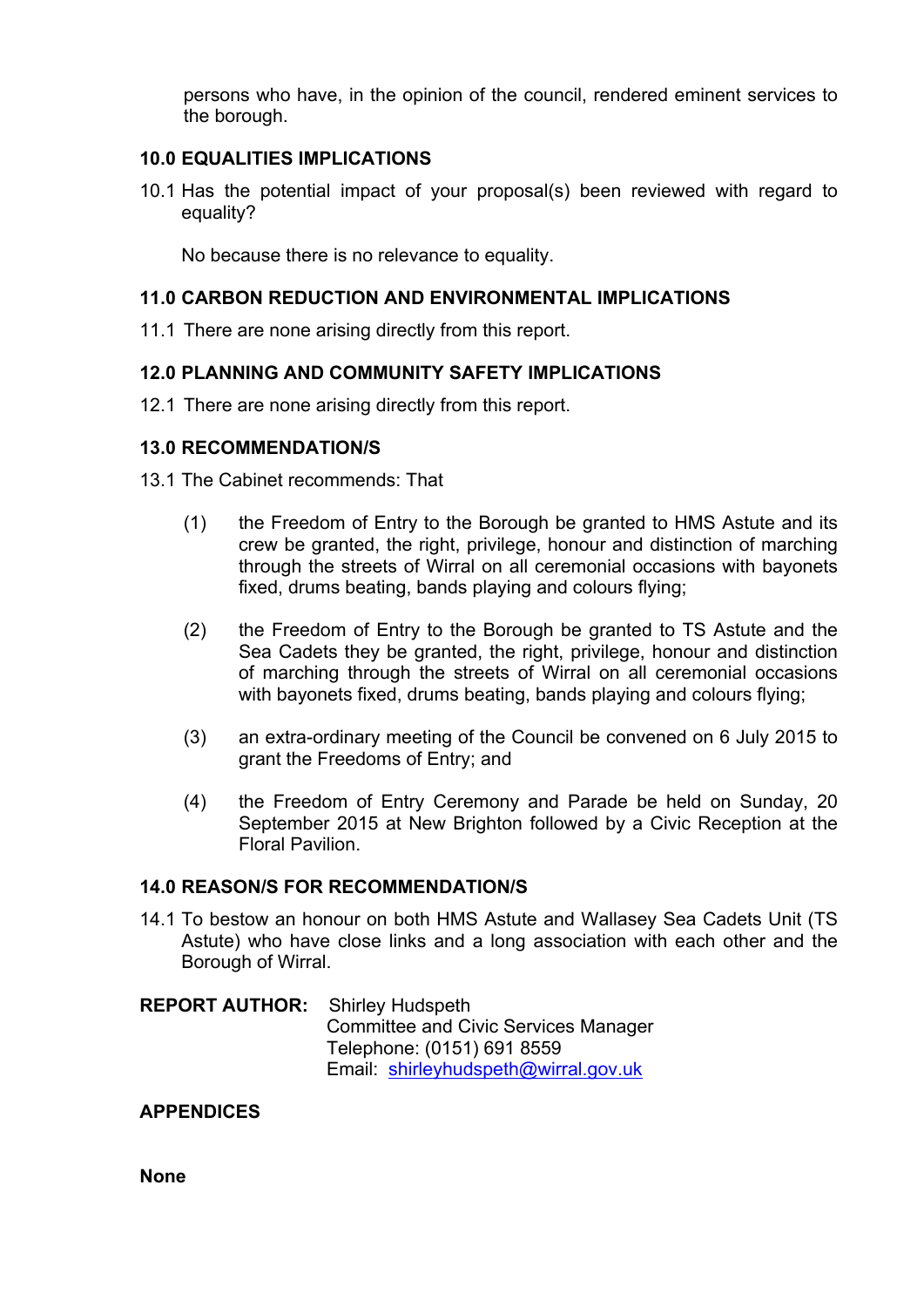persons who have, in the opinion of the council, rendered eminent services to the borough.

#### **10.0 EQUALITIES IMPLICATIONS**

10.1 Has the potential impact of your proposal(s) been reviewed with regard to equality?

No because there is no relevance to equality.

### **11.0 CARBON REDUCTION AND ENVIRONMENTAL IMPLICATIONS**

11.1 There are none arising directly from this report.

## **12.0 PLANNING AND COMMUNITY SAFETY IMPLICATIONS**

12.1 There are none arising directly from this report.

#### **13.0 RECOMMENDATION/S**

- 13.1 The Cabinet recommends: That
	- (1) the Freedom of Entry to the Borough be granted to HMS Astute and its crew be granted, the right, privilege, honour and distinction of marching through the streets of Wirral on all ceremonial occasions with bayonets fixed, drums beating, bands playing and colours flying;
	- (2) the Freedom of Entry to the Borough be granted to TS Astute and the Sea Cadets they be granted, the right, privilege, honour and distinction of marching through the streets of Wirral on all ceremonial occasions with bayonets fixed, drums beating, bands playing and colours flying;
	- (3) an extra-ordinary meeting of the Council be convened on 6 July 2015 to grant the Freedoms of Entry; and
	- (4) the Freedom of Entry Ceremony and Parade be held on Sunday, 20 September 2015 at New Brighton followed by a Civic Reception at the Floral Pavilion.

#### **14.0 REASON/S FOR RECOMMENDATION/S**

- 14.1 To bestow an honour on both HMS Astute and Wallasey Sea Cadets Unit (TS Astute) who have close links and a long association with each other and the Borough of Wirral.
- **REPORT AUTHOR:** Shirley Hudspeth Committee and Civic Services Manager Telephone: (0151) 691 8559 Email: [shirleyhudspeth@wirral.gov.uk](mailto:shirleyhudspeth@wirral.gov.uk)

## **APPENDICES**

**None**